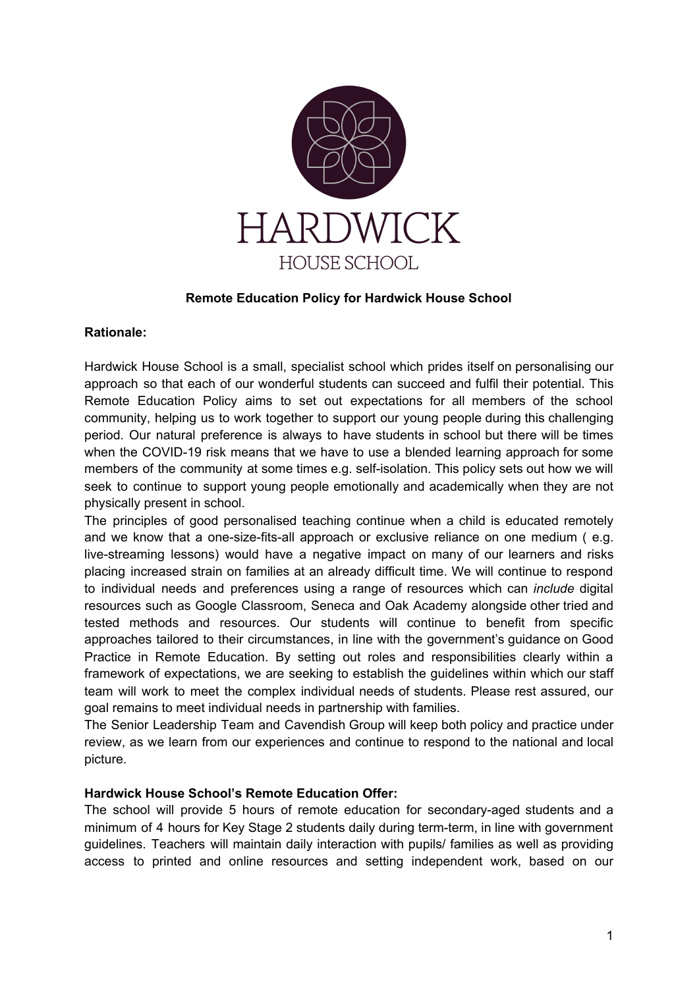

### **Remote Education Policy for Hardwick House School**

#### **Rationale:**

Hardwick House School is a small, specialist school which prides itself on personalising our approach so that each of our wonderful students can succeed and fulfil their potential. This Remote Education Policy aims to set out expectations for all members of the school community, helping us to work together to support our young people during this challenging period. Our natural preference is always to have students in school but there will be times when the COVID-19 risk means that we have to use a blended learning approach for some members of the community at some times e.g. self-isolation. This policy sets out how we will seek to continue to support young people emotionally and academically when they are not physically present in school.

The principles of good personalised teaching continue when a child is educated remotely and we know that a one-size-fits-all approach or exclusive reliance on one medium ( e.g. live-streaming lessons) would have a negative impact on many of our learners and risks placing increased strain on families at an already difficult time. We will continue to respond to individual needs and preferences using a range of resources which can *include* digital resources such as Google Classroom, Seneca and Oak Academy alongside other tried and tested methods and resources. Our students will continue to benefit from specific approaches tailored to their circumstances, in line with the government's guidance on Good Practice in Remote Education. By setting out roles and responsibilities clearly within a framework of expectations, we are seeking to establish the guidelines within which our staff team will work to meet the complex individual needs of students. Please rest assured, our goal remains to meet individual needs in partnership with families.

The Senior Leadership Team and Cavendish Group will keep both policy and practice under review, as we learn from our experiences and continue to respond to the national and local picture.

### **Hardwick House School's Remote Education Offer:**

The school will provide 5 hours of remote education for secondary-aged students and a minimum of 4 hours for Key Stage 2 students daily during term-term, in line with government guidelines. Teachers will maintain daily interaction with pupils/ families as well as providing access to printed and online resources and setting independent work, based on our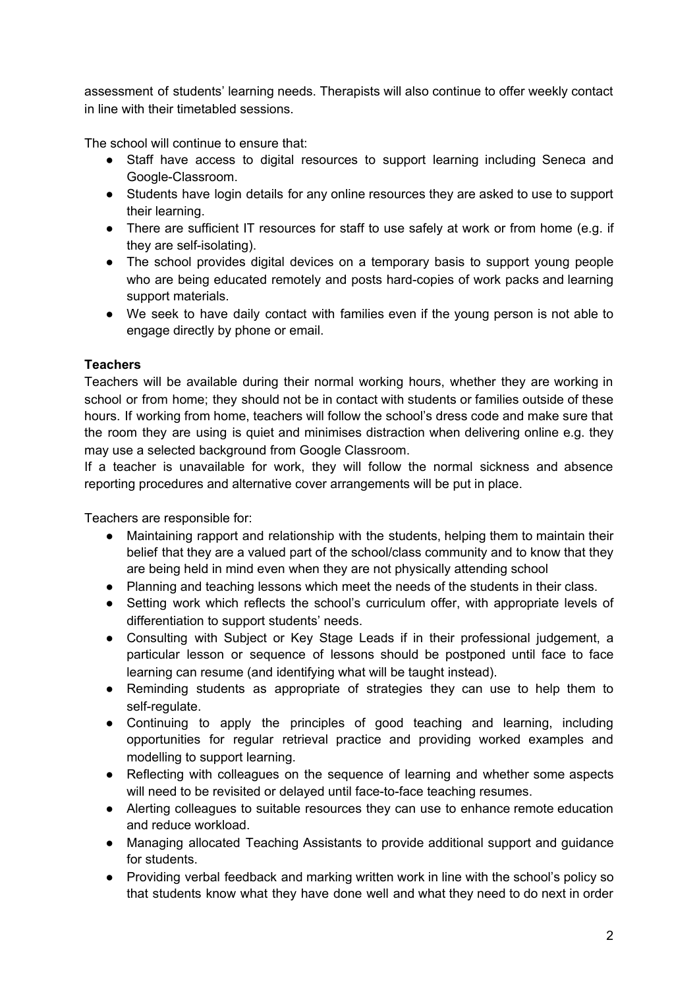assessment of students' learning needs. Therapists will also continue to offer weekly contact in line with their timetabled sessions.

The school will continue to ensure that:

- Staff have access to digital resources to support learning including Seneca and Google-Classroom.
- Students have login details for any online resources they are asked to use to support their learning.
- There are sufficient IT resources for staff to use safely at work or from home (e.g. if they are self-isolating).
- The school provides digital devices on a temporary basis to support young people who are being educated remotely and posts hard-copies of work packs and learning support materials.
- We seek to have daily contact with families even if the young person is not able to engage directly by phone or email.

# **Teachers**

Teachers will be available during their normal working hours, whether they are working in school or from home; they should not be in contact with students or families outside of these hours. If working from home, teachers will follow the school's dress code and make sure that the room they are using is quiet and minimises distraction when delivering online e.g. they may use a selected background from Google Classroom.

If a teacher is unavailable for work, they will follow the normal sickness and absence reporting procedures and alternative cover arrangements will be put in place.

Teachers are responsible for:

- Maintaining rapport and relationship with the students, helping them to maintain their belief that they are a valued part of the school/class community and to know that they are being held in mind even when they are not physically attending school
- Planning and teaching lessons which meet the needs of the students in their class.
- Setting work which reflects the school's curriculum offer, with appropriate levels of differentiation to support students' needs.
- Consulting with Subject or Key Stage Leads if in their professional judgement, a particular lesson or sequence of lessons should be postponed until face to face learning can resume (and identifying what will be taught instead).
- Reminding students as appropriate of strategies they can use to help them to self-regulate.
- Continuing to apply the principles of good teaching and learning, including opportunities for regular retrieval practice and providing worked examples and modelling to support learning.
- Reflecting with colleagues on the sequence of learning and whether some aspects will need to be revisited or delayed until face-to-face teaching resumes.
- Alerting colleagues to suitable resources they can use to enhance remote education and reduce workload.
- Managing allocated Teaching Assistants to provide additional support and guidance for students.
- Providing verbal feedback and marking written work in line with the school's policy so that students know what they have done well and what they need to do next in order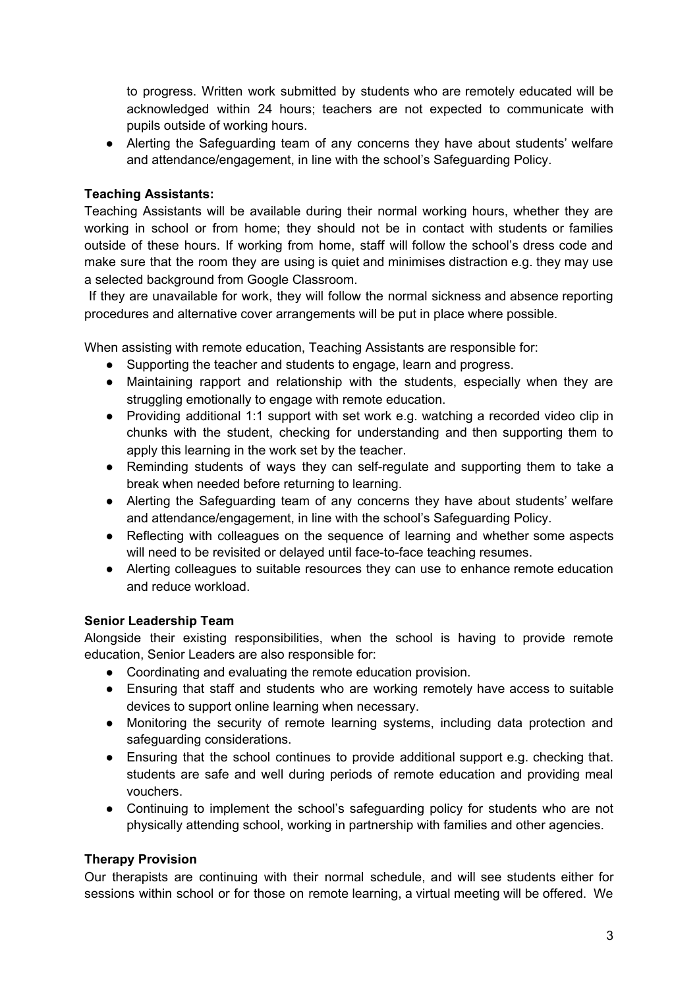to progress. Written work submitted by students who are remotely educated will be acknowledged within 24 hours; teachers are not expected to communicate with pupils outside of working hours.

● Alerting the Safeguarding team of any concerns they have about students' welfare and attendance/engagement, in line with the school's Safeguarding Policy.

## **Teaching Assistants:**

Teaching Assistants will be available during their normal working hours, whether they are working in school or from home; they should not be in contact with students or families outside of these hours. If working from home, staff will follow the school's dress code and make sure that the room they are using is quiet and minimises distraction e.g. they may use a selected background from Google Classroom.

If they are unavailable for work, they will follow the normal sickness and absence reporting procedures and alternative cover arrangements will be put in place where possible.

When assisting with remote education, Teaching Assistants are responsible for:

- Supporting the teacher and students to engage, learn and progress.
- Maintaining rapport and relationship with the students, especially when they are struggling emotionally to engage with remote education.
- Providing additional 1:1 support with set work e.g. watching a recorded video clip in chunks with the student, checking for understanding and then supporting them to apply this learning in the work set by the teacher.
- Reminding students of ways they can self-regulate and supporting them to take a break when needed before returning to learning.
- Alerting the Safeguarding team of any concerns they have about students' welfare and attendance/engagement, in line with the school's Safeguarding Policy.
- Reflecting with colleagues on the sequence of learning and whether some aspects will need to be revisited or delayed until face-to-face teaching resumes.
- Alerting colleagues to suitable resources they can use to enhance remote education and reduce workload.

## **Senior Leadership Team**

Alongside their existing responsibilities, when the school is having to provide remote education, Senior Leaders are also responsible for:

- Coordinating and evaluating the remote education provision.
- Ensuring that staff and students who are working remotely have access to suitable devices to support online learning when necessary.
- Monitoring the security of remote learning systems, including data protection and safeguarding considerations.
- Ensuring that the school continues to provide additional support e.g. checking that. students are safe and well during periods of remote education and providing meal vouchers.
- Continuing to implement the school's safeguarding policy for students who are not physically attending school, working in partnership with families and other agencies.

## **Therapy Provision**

Our therapists are continuing with their normal schedule, and will see students either for sessions within school or for those on remote learning, a virtual meeting will be offered. We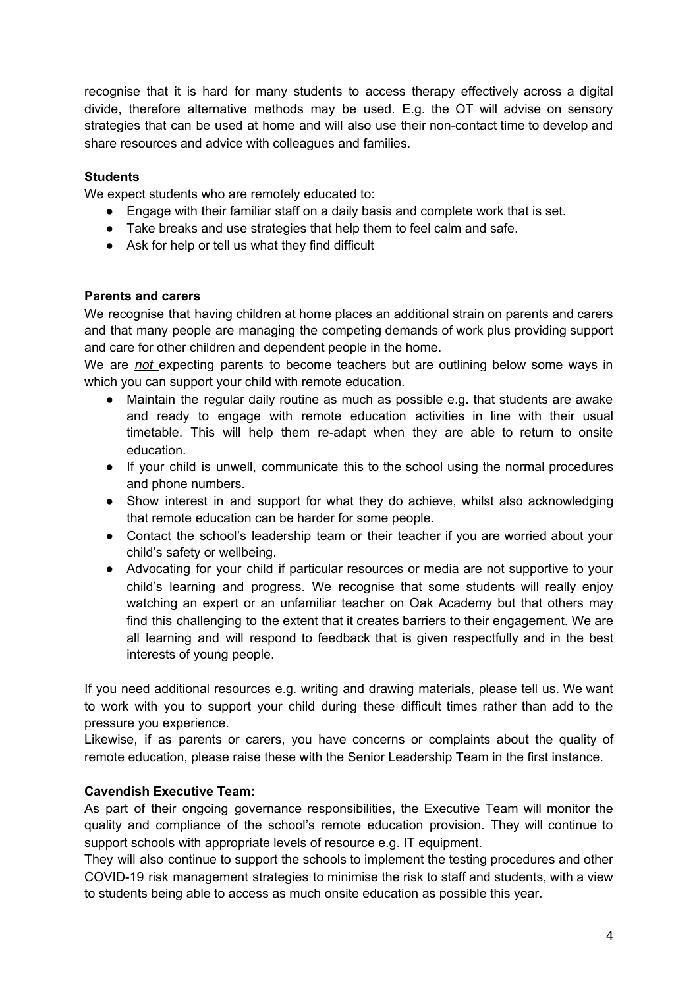recognise that it is hard for many students to access therapy effectively across a digital divide, therefore alternative methods may be used. E.g. the OT will advise on sensory strategies that can be used at home and will also use their non-contact time to develop and share resources and advice with colleagues and families.

### **Students**

We expect students who are remotely educated to:

- Engage with their familiar staff on a daily basis and complete work that is set.
- Take breaks and use strategies that help them to feel calm and safe.
- Ask for help or tell us what they find difficult

### **Parents and carers**

We recognise that having children at home places an additional strain on parents and carers and that many people are managing the competing demands of work plus providing support and care for other children and dependent people in the home.

We are *not* expecting parents to become teachers but are outlining below some ways in which you can support your child with remote education.

- Maintain the regular daily routine as much as possible e.g. that students are awake and ready to engage with remote education activities in line with their usual timetable. This will help them re-adapt when they are able to return to onsite education.
- If your child is unwell, communicate this to the school using the normal procedures and phone numbers.
- Show interest in and support for what they do achieve, whilst also acknowledging that remote education can be harder for some people.
- Contact the school's leadership team or their teacher if you are worried about your child's safety or wellbeing.
- Advocating for your child if particular resources or media are not supportive to your child's learning and progress. We recognise that some students will really enjoy watching an expert or an unfamiliar teacher on Oak Academy but that others may find this challenging to the extent that it creates barriers to their engagement. We are all learning and will respond to feedback that is given respectfully and in the best interests of young people.

If you need additional resources e.g. writing and drawing materials, please tell us. We want to work with you to support your child during these difficult times rather than add to the pressure you experience.

Likewise, if as parents or carers, you have concerns or complaints about the quality of remote education, please raise these with the Senior Leadership Team in the first instance.

## **Cavendish Executive Team:**

As part of their ongoing governance responsibilities, the Executive Team will monitor the quality and compliance of the school's remote education provision. They will continue to support schools with appropriate levels of resource e.g. IT equipment.

They will also continue to support the schools to implement the testing procedures and other COVID-19 risk management strategies to minimise the risk to staff and students, with a view to students being able to access as much onsite education as possible this year.